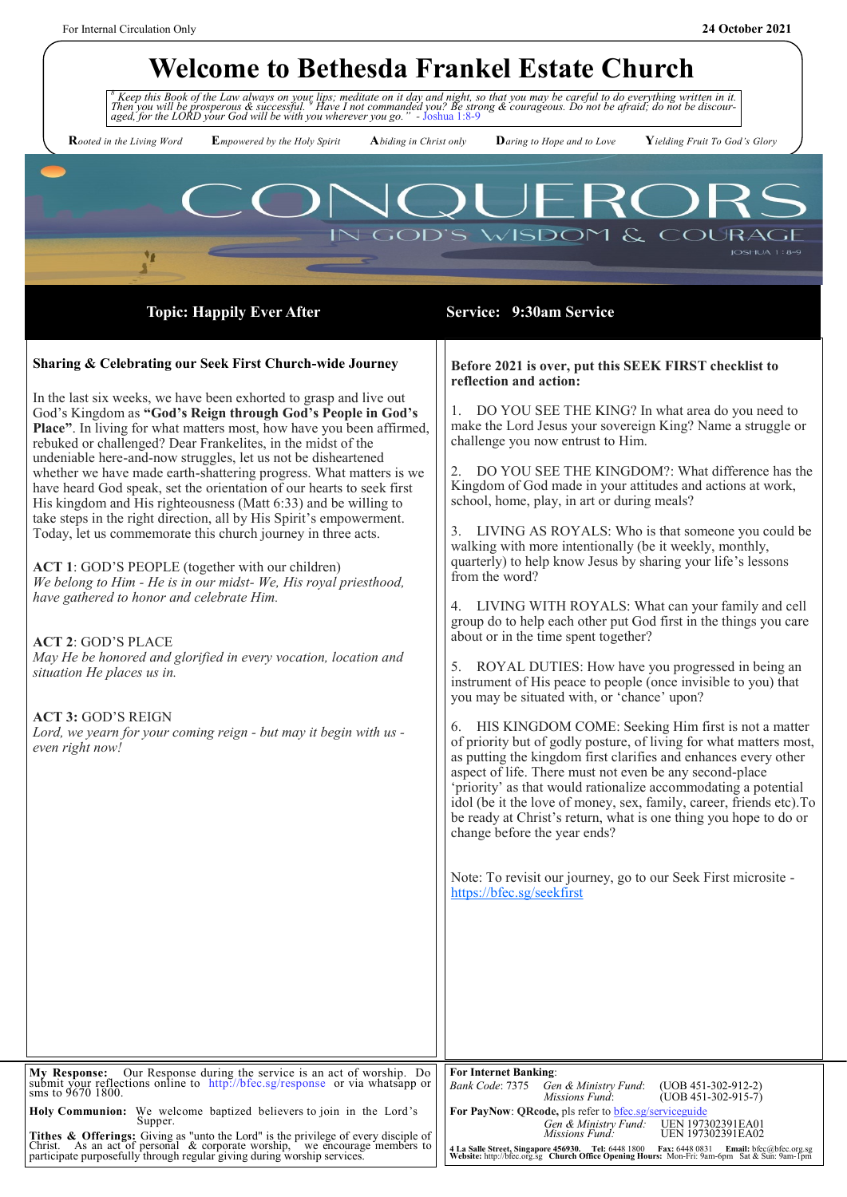